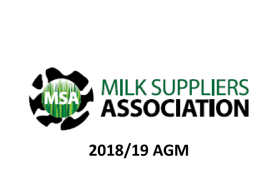

## 2018/19 AGM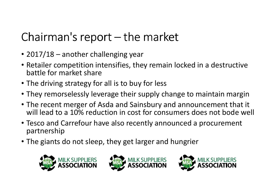### Chairman's report – the market

- 2017/18 another challenging year
- Retailer competition intensifies, they remain locked in a destructive battle for market share
- The driving strategy for all is to buy for less
- They remorselessly leverage their supply change to maintain margin
- The recent merger of Asda and Sainsbury and announcement that it will lead to a 10% reduction in cost for consumers does not bode well
- Tesco and Carrefour have also recently announced a procurement partnership
- The giants do not sleep, they get larger and hungrier





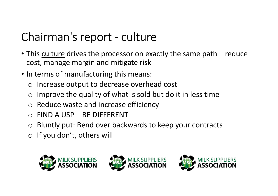### Chairman's report - culture

- This **culture** drives the processor on exactly the same path reduce cost, manage margin and mitigate risk
- In terms of manufacturing this means:
	- o Increase output to decrease overhead cost
	- oImprove the quality of what is sold but do it in less time
	- o Reduce waste and increase efficiency
	- o FIND A USP BE DIFFERENT
	- o Bluntly put: Bend over backwards to keep your contracts
	- $\circ$  If you don't, others will





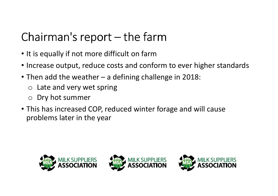# Chairman's report – the farm

- It is equally if not more difficult on farm
- Increase output, reduce costs and conform to ever higher standards
- Then add the weather a defining challenge in 2018:
	- o Late and very wet spring
	- o Dry hot summer
- This has increased COP, reduced winter forage and will cause problems later in the year





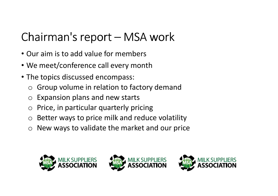### Chairman's report – MSA work

- Our aim is to add value for members
- We meet/conference call every month
- The topics discussed encompass:
	- oGroup volume in relation to factory demand
	- oExpansion plans and new starts
	- $\bigcirc$ Price, in particular quarterly pricing
	- $\bigcirc$ Better ways to price milk and reduce volatility
	- $\bigcirc$ New ways to validate the market and our price





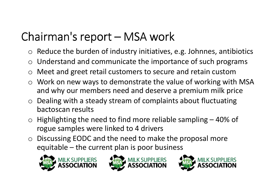### Chairman's report – MSA work

- $\circ$  Reduce the burden of industry initiatives, e.g. Johnnes, antibiotics
- $\circ$  Understand and communicate the importance of such programs
- $\Omega$ Meet and greet retail customers to secure and retain custom
- o Work on new ways to demonstrate the value of working with MSA and why our members need and deserve a premium milk price
- o Dealing with a steady stream of complaints about fluctuating bactoscan results
- o Highlighting the need to find more reliable sampling – 40% of rogue samples were linked to 4 drivers
- o Discussing EODC and the need to make the proposal more equitable – the current plan is poor business





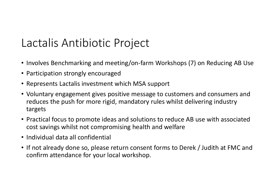#### Lactalis Antibiotic Project

- Involves Benchmarking and meeting/on-farm Workshops (7) on Reducing AB Use
- Participation strongly encouraged
- Represents Lactalis investment which MSA support
- Voluntary engagement gives positive message to customers and consumers and reduces the push for more rigid, mandatory rules whilst delivering industry targets
- Practical focus to promote ideas and solutions to reduce AB use with associated cost savings whilst not compromising health and welfare
- Individual data all confidential
- If not already done so, please return consent forms to Derek / Judith at FMC and confirm attendance for your local workshop.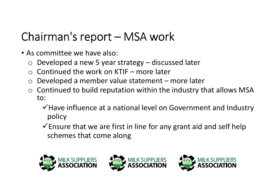### Chairman's report – MSA work

- As committee we have also:
	- o Developed a new 5 year strategy discussed later
	- $\circ$  Continued the work on KTIF more later
	- $\bigcirc$ Developed a member value statement – more later
	- $\circ$  Continued to build reputation within the industry that allows MSA to:
		- $\checkmark$  Have influence at a national level on Government and Industry policy
		- $\checkmark$  Ensure that we are first in line for any grant aid and self help schemes that come along





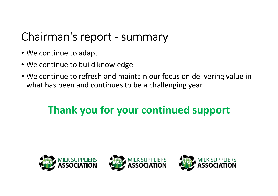### Chairman's report - summary

- We continue to adapt
- We continue to build knowledge
- We continue to refresh and maintain our focus on delivering value in what has been and continues to be a challenging year

#### Thank you for your continued support





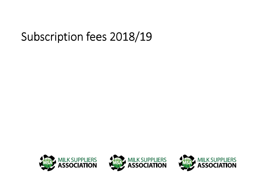#### Subscription fees 2018/19





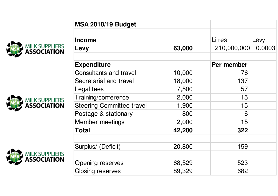





| <b>MSA 2018/19 Budget</b>        |        |               |        |
|----------------------------------|--------|---------------|--------|
| <b>Income</b>                    |        | <b>Litres</b> | Levy   |
| Levy                             | 63,000 | 210,000,000   | 0.0003 |
| <b>Expenditure</b>               |        | Per member    |        |
| Consultants and travel           | 10,000 | 76            |        |
| Secretarial and travel           | 18,000 | 137           |        |
| Legal fees                       | 7,500  | 57            |        |
| Training/conference              | 2,000  | 15            |        |
| <b>Steering Committee travel</b> | 1,900  | 15            |        |
| Postage & stationary             | 800    | 6             |        |
| Member meetings                  | 2,000  | 15            |        |
| <b>Total</b>                     | 42,200 | 322           |        |
|                                  |        |               |        |
| Surplus/ (Deficit)               | 20,800 | 159           |        |
|                                  |        |               |        |
| <b>Opening reserves</b>          | 68,529 | 523           |        |
| <b>Closing reserves</b>          | 89,329 | 682           |        |